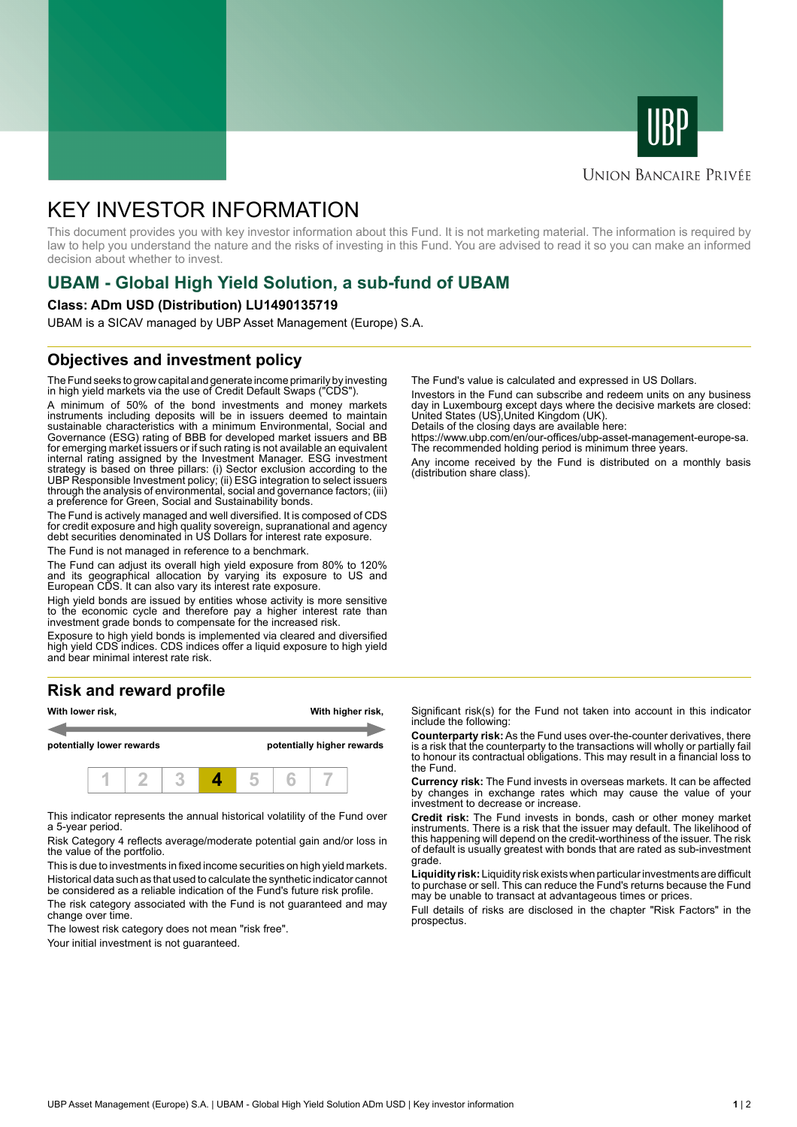



### **UNION BANCAIRE PRIVÉE**

# KEY INVESTOR INFORMATION

This document provides you with key investor information about this Fund. It is not marketing material. The information is required by law to help you understand the nature and the risks of investing in this Fund. You are advised to read it so you can make an informed decision about whether to invest.

# **UBAM - Global High Yield Solution, a sub-fund of UBAM**

#### **Class: ADm USD (Distribution) LU1490135719**

UBAM is a SICAV managed by UBP Asset Management (Europe) S.A.

## **Objectives and investment policy**

The Fund seeks to grow capital and generate income primarily by investing in high yield markets via the use of Credit Default Swaps ("CDS").

A minimum of 50% of the bond investments and money markets instruments including deposits will be in issuers deemed to maintain sustainable characteristics with a minimum Environmental, Social and Governance (ESG) rating of BBB for developed market issuers and BB for emerging market issuers or if such rating is not available an equivalent internal rating assigned by the Investment Manager. ESG investment strategy is based on three pillars: (i) Sector exclusion according to the UBP Responsible Investment policy; (ii) ESG integration to select issuers through the analysis of environmental, social and governance factors; (iii) a preference for Green, Social and Sustainability bonds.

The Fund is actively managed and well diversified. It is composed of CDS for credit exposure and high quality sovereign, supranational and agency debt securities denominated in US Dollars for interest rate exposure.

The Fund is not managed in reference to a benchmark.

The Fund can adjust its overall high yield exposure from 80% to 120% and its geographical allocation by varying its exposure to US and European CDS. It can also vary its interest rate exposure.

High yield bonds are issued by entities whose activity is more sensitive to the economic cycle and therefore pay a higher interest rate than investment grade bonds to compensate for the increased risk.

Exposure to high yield bonds is implemented via cleared and diversified high yield CDS indices. CDS indices offer a liquid exposure to high yield and bear minimal interest rate risk.

# **Risk and reward profile**



This indicator represents the annual historical volatility of the Fund over a 5-year period.

Risk Category 4 reflects average/moderate potential gain and/or loss in the value of the portfolio.

This is due to investments in fixed income securities on high yield markets. Historical data such as that used to calculate the synthetic indicator cannot be considered as a reliable indication of the Fund's future risk profile. The risk category associated with the Fund is not guaranteed and may

change over time.

The lowest risk category does not mean "risk free".

Your initial investment is not guaranteed.

The Fund's value is calculated and expressed in US Dollars.

Investors in the Fund can subscribe and redeem units on any business day in Luxembourg except days where the decisive markets are closed: United States (US),United Kingdom (UK).

Details of the closing days are available here:

https://www.ubp.com/en/our-offices/ubp-asset-management-europe-sa. The recommended holding period is minimum three years.

Any income received by the Fund is distributed on a monthly basis (distribution share class).

Significant risk(s) for the Fund not taken into account in this indicator include the following:

**Counterparty risk:** As the Fund uses over-the-counter derivatives, there is a risk that the counterparty to the transactions will wholly or partially fail to honour its contractual obligations. This may result in a financial loss to the Fund.

**Currency risk:** The Fund invests in overseas markets. It can be affected by changes in exchange rates which may cause the value of your investment to decrease or increase.

**Credit risk:** The Fund invests in bonds, cash or other money market instruments. There is a risk that the issuer may default. The likelihood of this happening will depend on the credit-worthiness of the issuer. The risk of default is usually greatest with bonds that are rated as sub-investment grade.

**Liquidity risk:** Liquidity risk exists when particular investments are difficult to purchase or sell. This can reduce the Fund's returns because the Fund may be unable to transact at advantageous times or prices.

Full details of risks are disclosed in the chapter "Risk Factors" in the prospectus.